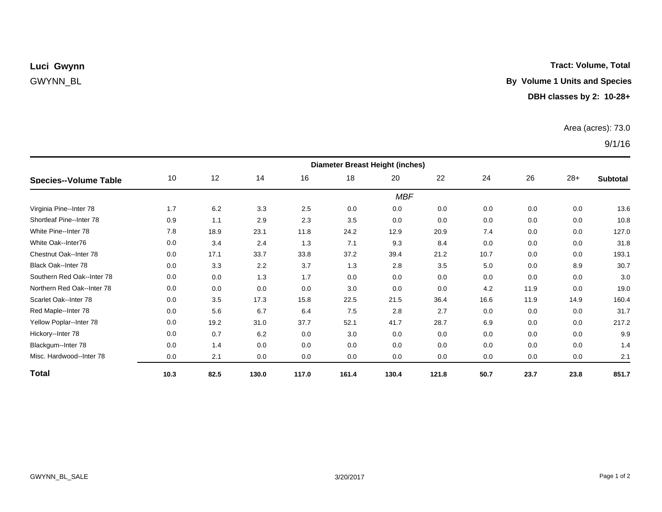## **Tract: Volume, Total**

# GWYNN\_BL **By Volume 1 Units and Species**

### **DBH classes by 2: 10-28+**

### Area (acres): 73.0

## 9/1/16

| <b>Species--Volume Table</b> | <b>Diameter Breast Height (inches)</b> |      |       |       |       |       |       |      |      |       |                 |  |
|------------------------------|----------------------------------------|------|-------|-------|-------|-------|-------|------|------|-------|-----------------|--|
|                              | 10                                     | 12   | 14    | 16    | 18    | 20    | 22    | 24   | 26   | $28+$ | <b>Subtotal</b> |  |
|                              | <b>MBF</b>                             |      |       |       |       |       |       |      |      |       |                 |  |
| Virginia Pine--Inter 78      | 1.7                                    | 6.2  | 3.3   | 2.5   | 0.0   | 0.0   | 0.0   | 0.0  | 0.0  | 0.0   | 13.6            |  |
| Shortleaf Pine--Inter 78     | 0.9                                    | 1.1  | 2.9   | 2.3   | 3.5   | 0.0   | 0.0   | 0.0  | 0.0  | 0.0   | 10.8            |  |
| White Pine--Inter 78         | 7.8                                    | 18.9 | 23.1  | 11.8  | 24.2  | 12.9  | 20.9  | 7.4  | 0.0  | 0.0   | 127.0           |  |
| White Oak--Inter76           | 0.0                                    | 3.4  | 2.4   | 1.3   | 7.1   | 9.3   | 8.4   | 0.0  | 0.0  | 0.0   | 31.8            |  |
| Chestnut Oak--Inter 78       | 0.0                                    | 17.1 | 33.7  | 33.8  | 37.2  | 39.4  | 21.2  | 10.7 | 0.0  | 0.0   | 193.1           |  |
| Black Oak--Inter 78          | 0.0                                    | 3.3  | 2.2   | 3.7   | 1.3   | 2.8   | 3.5   | 5.0  | 0.0  | 8.9   | 30.7            |  |
| Southern Red Oak--Inter 78   | 0.0                                    | 0.0  | 1.3   | 1.7   | 0.0   | 0.0   | 0.0   | 0.0  | 0.0  | 0.0   | 3.0             |  |
| Northern Red Oak--Inter 78   | 0.0                                    | 0.0  | 0.0   | 0.0   | 3.0   | 0.0   | 0.0   | 4.2  | 11.9 | 0.0   | 19.0            |  |
| Scarlet Oak--Inter 78        | 0.0                                    | 3.5  | 17.3  | 15.8  | 22.5  | 21.5  | 36.4  | 16.6 | 11.9 | 14.9  | 160.4           |  |
| Red Maple--Inter 78          | 0.0                                    | 5.6  | 6.7   | 6.4   | 7.5   | 2.8   | 2.7   | 0.0  | 0.0  | 0.0   | 31.7            |  |
| Yellow Poplar--Inter 78      | 0.0                                    | 19.2 | 31.0  | 37.7  | 52.1  | 41.7  | 28.7  | 6.9  | 0.0  | 0.0   | 217.2           |  |
| Hickory--Inter 78            | 0.0                                    | 0.7  | 6.2   | 0.0   | 3.0   | 0.0   | 0.0   | 0.0  | 0.0  | 0.0   | 9.9             |  |
| Blackgum--Inter 78           | 0.0                                    | 1.4  | 0.0   | 0.0   | 0.0   | 0.0   | 0.0   | 0.0  | 0.0  | 0.0   | 1.4             |  |
| Misc. Hardwood--Inter 78     | 0.0                                    | 2.1  | 0.0   | 0.0   | 0.0   | 0.0   | 0.0   | 0.0  | 0.0  | 0.0   | 2.1             |  |
| <b>Total</b>                 | 10.3                                   | 82.5 | 130.0 | 117.0 | 161.4 | 130.4 | 121.8 | 50.7 | 23.7 | 23.8  | 851.7           |  |